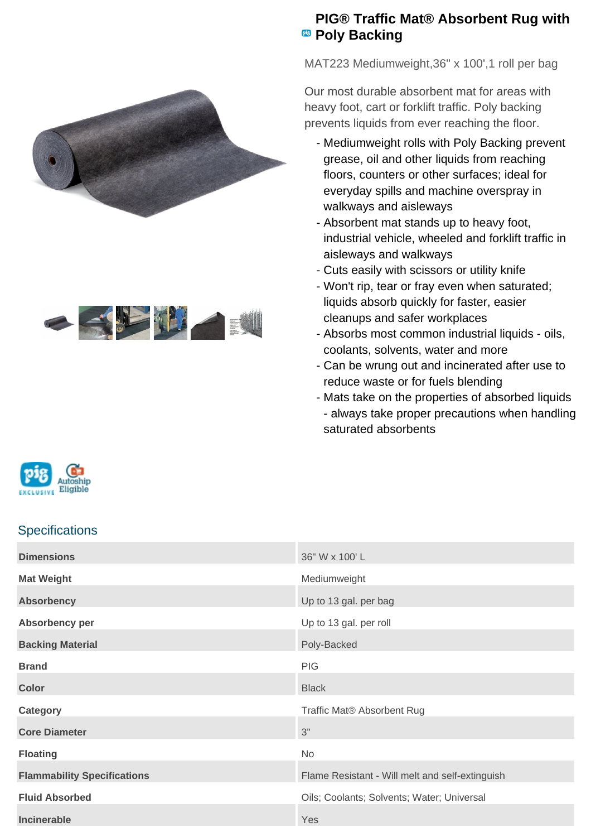



## **PIG® Traffic Mat® Absorbent Rug with Poly Backing**

MAT223 Mediumweight,36" x 100',1 roll per bag

Our most durable absorbent mat for areas with heavy foot, cart or forklift traffic. Poly backing prevents liquids from ever reaching the floor.

- Mediumweight rolls with Poly Backing prevent grease, oil and other liquids from reaching floors, counters or other surfaces; ideal for everyday spills and machine overspray in walkways and aisleways
- Absorbent mat stands up to heavy foot, industrial vehicle, wheeled and forklift traffic in aisleways and walkways
- Cuts easily with scissors or utility knife
- Won't rip, tear or fray even when saturated; liquids absorb quickly for faster, easier cleanups and safer workplaces
- Absorbs most common industrial liquids oils, coolants, solvents, water and more
- Can be wrung out and incinerated after use to reduce waste or for fuels blending
- Mats take on the properties of absorbed liquids - always take proper precautions when handling saturated absorbents



## **Specifications**

| <b>Dimensions</b>                  | 36" W x 100' L                                  |
|------------------------------------|-------------------------------------------------|
| <b>Mat Weight</b>                  | Mediumweight                                    |
| <b>Absorbency</b>                  | Up to 13 gal. per bag                           |
| Absorbency per                     | Up to 13 gal. per roll                          |
| <b>Backing Material</b>            | Poly-Backed                                     |
| <b>Brand</b>                       | <b>PIG</b>                                      |
| <b>Color</b>                       | <b>Black</b>                                    |
| Category                           | Traffic Mat® Absorbent Rug                      |
| <b>Core Diameter</b>               | 3"                                              |
| <b>Floating</b>                    | No                                              |
| <b>Flammability Specifications</b> | Flame Resistant - Will melt and self-extinguish |
| <b>Fluid Absorbed</b>              | Oils; Coolants; Solvents; Water; Universal      |
| Incinerable                        | Yes                                             |